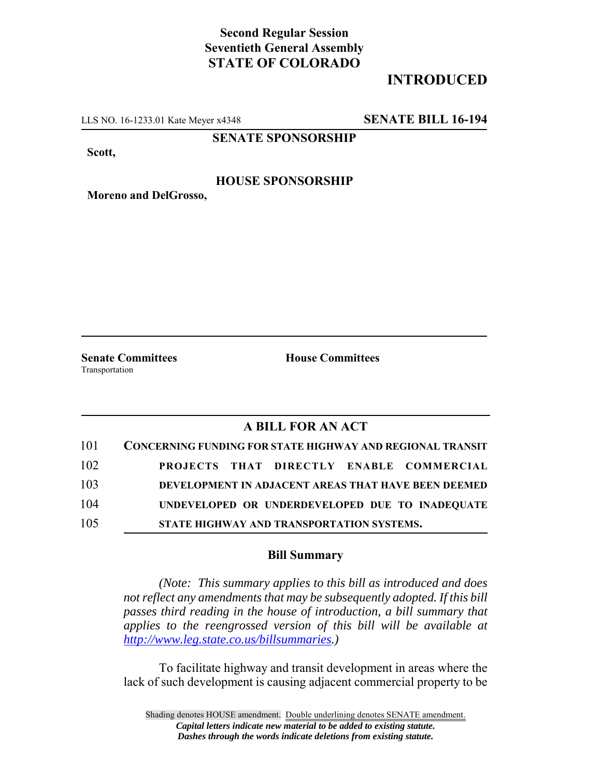## **Second Regular Session Seventieth General Assembly STATE OF COLORADO**

# **INTRODUCED**

LLS NO. 16-1233.01 Kate Meyer x4348 **SENATE BILL 16-194**

**SENATE SPONSORSHIP**

**Scott,**

#### **HOUSE SPONSORSHIP**

**Moreno and DelGrosso,**

Transportation

**Senate Committees House Committees** 

### **A BILL FOR AN ACT**

| 101 | <b>CONCERNING FUNDING FOR STATE HIGHWAY AND REGIONAL TRANSIT</b> |
|-----|------------------------------------------------------------------|
| 102 | PROJECTS THAT DIRECTLY ENABLE COMMERCIAL                         |
| 103 | DEVELOPMENT IN ADJACENT AREAS THAT HAVE BEEN DEEMED              |
| 104 | UNDEVELOPED OR UNDERDEVELOPED DUE TO INADEQUATE                  |
| 105 | STATE HIGHWAY AND TRANSPORTATION SYSTEMS.                        |

### **Bill Summary**

*(Note: This summary applies to this bill as introduced and does not reflect any amendments that may be subsequently adopted. If this bill passes third reading in the house of introduction, a bill summary that applies to the reengrossed version of this bill will be available at http://www.leg.state.co.us/billsummaries.)*

To facilitate highway and transit development in areas where the lack of such development is causing adjacent commercial property to be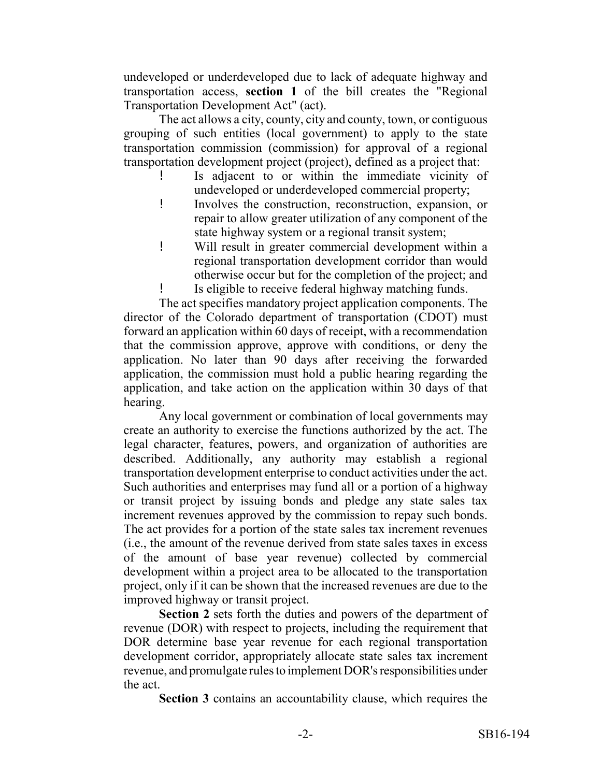undeveloped or underdeveloped due to lack of adequate highway and transportation access, **section 1** of the bill creates the "Regional Transportation Development Act" (act).

The act allows a city, county, city and county, town, or contiguous grouping of such entities (local government) to apply to the state transportation commission (commission) for approval of a regional transportation development project (project), defined as a project that:

- Is adjacent to or within the immediate vicinity of undeveloped or underdeveloped commercial property;
- ! Involves the construction, reconstruction, expansion, or repair to allow greater utilization of any component of the state highway system or a regional transit system;
- ! Will result in greater commercial development within a regional transportation development corridor than would otherwise occur but for the completion of the project; and ! Is eligible to receive federal highway matching funds.

The act specifies mandatory project application components. The director of the Colorado department of transportation (CDOT) must forward an application within 60 days of receipt, with a recommendation that the commission approve, approve with conditions, or deny the application. No later than 90 days after receiving the forwarded application, the commission must hold a public hearing regarding the application, and take action on the application within 30 days of that hearing.

Any local government or combination of local governments may create an authority to exercise the functions authorized by the act. The legal character, features, powers, and organization of authorities are described. Additionally, any authority may establish a regional transportation development enterprise to conduct activities under the act. Such authorities and enterprises may fund all or a portion of a highway or transit project by issuing bonds and pledge any state sales tax increment revenues approved by the commission to repay such bonds. The act provides for a portion of the state sales tax increment revenues (i.e., the amount of the revenue derived from state sales taxes in excess of the amount of base year revenue) collected by commercial development within a project area to be allocated to the transportation project, only if it can be shown that the increased revenues are due to the improved highway or transit project.

**Section 2** sets forth the duties and powers of the department of revenue (DOR) with respect to projects, including the requirement that DOR determine base year revenue for each regional transportation development corridor, appropriately allocate state sales tax increment revenue, and promulgate rules to implement DOR's responsibilities under the act.

**Section 3** contains an accountability clause, which requires the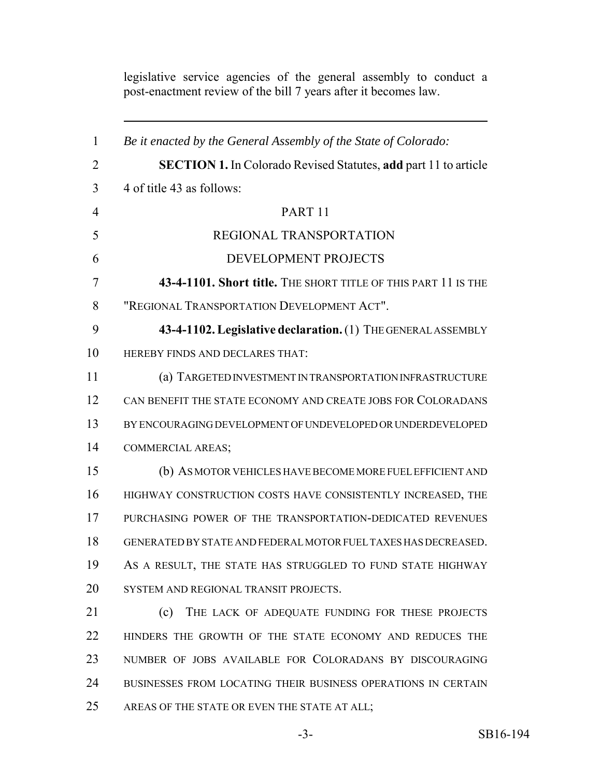*Be it enacted by the General Assembly of the State of Colorado:* **SECTION 1.** In Colorado Revised Statutes, **add** part 11 to article 4 of title 43 as follows: PART 11 REGIONAL TRANSPORTATION DEVELOPMENT PROJECTS **43-4-1101. Short title.** THE SHORT TITLE OF THIS PART 11 IS THE "REGIONAL TRANSPORTATION DEVELOPMENT ACT". **43-4-1102. Legislative declaration.** (1) THE GENERAL ASSEMBLY HEREBY FINDS AND DECLARES THAT: (a) TARGETED INVESTMENT IN TRANSPORTATION INFRASTRUCTURE CAN BENEFIT THE STATE ECONOMY AND CREATE JOBS FOR COLORADANS BY ENCOURAGING DEVELOPMENT OF UNDEVELOPED OR UNDERDEVELOPED COMMERCIAL AREAS; (b) AS MOTOR VEHICLES HAVE BECOME MORE FUEL EFFICIENT AND HIGHWAY CONSTRUCTION COSTS HAVE CONSISTENTLY INCREASED, THE PURCHASING POWER OF THE TRANSPORTATION-DEDICATED REVENUES GENERATED BY STATE AND FEDERAL MOTOR FUEL TAXES HAS DECREASED. 19 AS A RESULT, THE STATE HAS STRUGGLED TO FUND STATE HIGHWAY SYSTEM AND REGIONAL TRANSIT PROJECTS. (c) THE LACK OF ADEQUATE FUNDING FOR THESE PROJECTS HINDERS THE GROWTH OF THE STATE ECONOMY AND REDUCES THE NUMBER OF JOBS AVAILABLE FOR COLORADANS BY DISCOURAGING BUSINESSES FROM LOCATING THEIR BUSINESS OPERATIONS IN CERTAIN 25 AREAS OF THE STATE OR EVEN THE STATE AT ALL;

legislative service agencies of the general assembly to conduct a post-enactment review of the bill 7 years after it becomes law.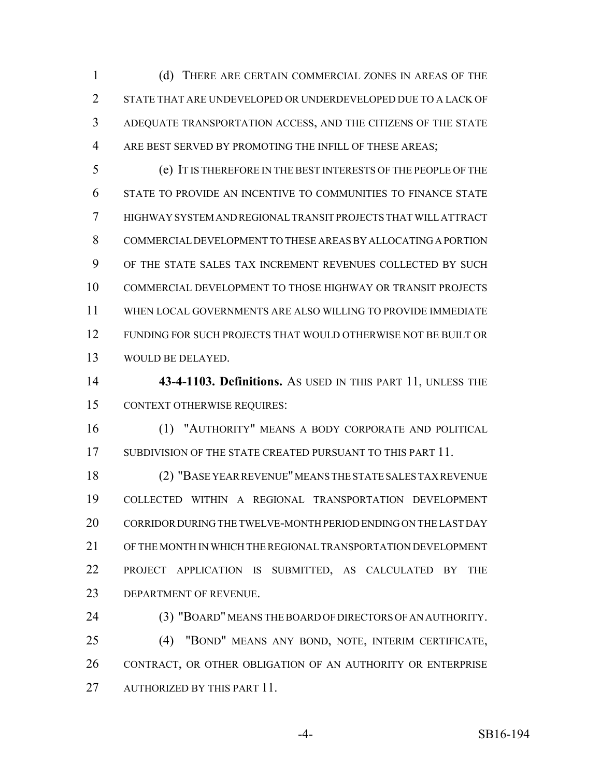(d) THERE ARE CERTAIN COMMERCIAL ZONES IN AREAS OF THE STATE THAT ARE UNDEVELOPED OR UNDERDEVELOPED DUE TO A LACK OF ADEQUATE TRANSPORTATION ACCESS, AND THE CITIZENS OF THE STATE ARE BEST SERVED BY PROMOTING THE INFILL OF THESE AREAS;

 (e) IT IS THEREFORE IN THE BEST INTERESTS OF THE PEOPLE OF THE STATE TO PROVIDE AN INCENTIVE TO COMMUNITIES TO FINANCE STATE HIGHWAY SYSTEM AND REGIONAL TRANSIT PROJECTS THAT WILL ATTRACT COMMERCIAL DEVELOPMENT TO THESE AREAS BY ALLOCATING A PORTION OF THE STATE SALES TAX INCREMENT REVENUES COLLECTED BY SUCH COMMERCIAL DEVELOPMENT TO THOSE HIGHWAY OR TRANSIT PROJECTS WHEN LOCAL GOVERNMENTS ARE ALSO WILLING TO PROVIDE IMMEDIATE FUNDING FOR SUCH PROJECTS THAT WOULD OTHERWISE NOT BE BUILT OR WOULD BE DELAYED.

 **43-4-1103. Definitions.** AS USED IN THIS PART 11, UNLESS THE CONTEXT OTHERWISE REQUIRES:

 (1) "AUTHORITY" MEANS A BODY CORPORATE AND POLITICAL 17 SUBDIVISION OF THE STATE CREATED PURSUANT TO THIS PART 11.

 (2) "BASE YEAR REVENUE" MEANS THE STATE SALES TAX REVENUE COLLECTED WITHIN A REGIONAL TRANSPORTATION DEVELOPMENT CORRIDOR DURING THE TWELVE-MONTH PERIOD ENDING ON THE LAST DAY OF THE MONTH IN WHICH THE REGIONAL TRANSPORTATION DEVELOPMENT PROJECT APPLICATION IS SUBMITTED, AS CALCULATED BY THE DEPARTMENT OF REVENUE.

 (3) "BOARD" MEANS THE BOARD OF DIRECTORS OF AN AUTHORITY. (4) "BOND" MEANS ANY BOND, NOTE, INTERIM CERTIFICATE, CONTRACT, OR OTHER OBLIGATION OF AN AUTHORITY OR ENTERPRISE 27 AUTHORIZED BY THIS PART 11.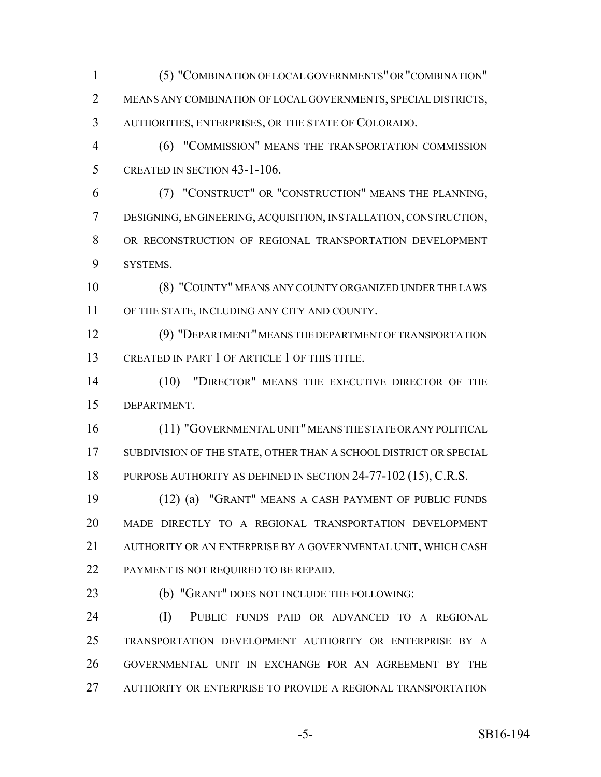(5) "COMBINATION OF LOCAL GOVERNMENTS" OR "COMBINATION" MEANS ANY COMBINATION OF LOCAL GOVERNMENTS, SPECIAL DISTRICTS, AUTHORITIES, ENTERPRISES, OR THE STATE OF COLORADO.

 (6) "COMMISSION" MEANS THE TRANSPORTATION COMMISSION CREATED IN SECTION 43-1-106.

 (7) "CONSTRUCT" OR "CONSTRUCTION" MEANS THE PLANNING, DESIGNING, ENGINEERING, ACQUISITION, INSTALLATION, CONSTRUCTION, OR RECONSTRUCTION OF REGIONAL TRANSPORTATION DEVELOPMENT SYSTEMS.

 (8) "COUNTY" MEANS ANY COUNTY ORGANIZED UNDER THE LAWS OF THE STATE, INCLUDING ANY CITY AND COUNTY.

 (9) "DEPARTMENT" MEANS THE DEPARTMENT OF TRANSPORTATION CREATED IN PART 1 OF ARTICLE 1 OF THIS TITLE.

 (10) "DIRECTOR" MEANS THE EXECUTIVE DIRECTOR OF THE DEPARTMENT.

 (11) "GOVERNMENTAL UNIT" MEANS THE STATE OR ANY POLITICAL 17 SUBDIVISION OF THE STATE, OTHER THAN A SCHOOL DISTRICT OR SPECIAL PURPOSE AUTHORITY AS DEFINED IN SECTION 24-77-102 (15), C.R.S.

 (12) (a) "GRANT" MEANS A CASH PAYMENT OF PUBLIC FUNDS MADE DIRECTLY TO A REGIONAL TRANSPORTATION DEVELOPMENT AUTHORITY OR AN ENTERPRISE BY A GOVERNMENTAL UNIT, WHICH CASH 22 PAYMENT IS NOT REQUIRED TO BE REPAID.

(b) "GRANT" DOES NOT INCLUDE THE FOLLOWING:

 (I) PUBLIC FUNDS PAID OR ADVANCED TO A REGIONAL TRANSPORTATION DEVELOPMENT AUTHORITY OR ENTERPRISE BY A GOVERNMENTAL UNIT IN EXCHANGE FOR AN AGREEMENT BY THE AUTHORITY OR ENTERPRISE TO PROVIDE A REGIONAL TRANSPORTATION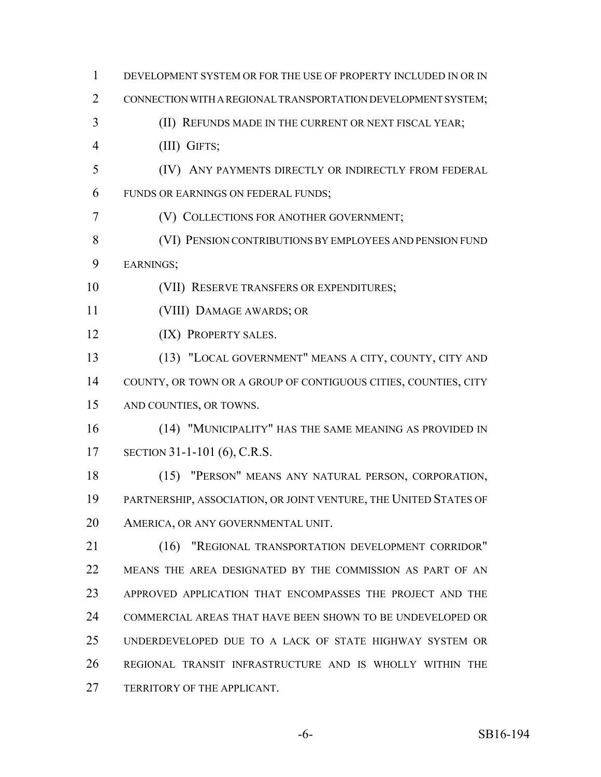| $\mathbf{1}$   | DEVELOPMENT SYSTEM OR FOR THE USE OF PROPERTY INCLUDED IN OR IN  |
|----------------|------------------------------------------------------------------|
| $\overline{2}$ | CONNECTION WITH A REGIONAL TRANSPORTATION DEVELOPMENT SYSTEM;    |
| 3              | (II) REFUNDS MADE IN THE CURRENT OR NEXT FISCAL YEAR;            |
| $\overline{4}$ | (III) GIFTS;                                                     |
| 5              | (IV) ANY PAYMENTS DIRECTLY OR INDIRECTLY FROM FEDERAL            |
| 6              | FUNDS OR EARNINGS ON FEDERAL FUNDS;                              |
| 7              | (V) COLLECTIONS FOR ANOTHER GOVERNMENT;                          |
| 8              | (VI) PENSION CONTRIBUTIONS BY EMPLOYEES AND PENSION FUND         |
| 9              | EARNINGS;                                                        |
| 10             | (VII) RESERVE TRANSFERS OR EXPENDITURES;                         |
| 11             | (VIII) DAMAGE AWARDS; OR                                         |
| 12             | (IX) PROPERTY SALES.                                             |
| 13             | (13) "LOCAL GOVERNMENT" MEANS A CITY, COUNTY, CITY AND           |
| 14             | COUNTY, OR TOWN OR A GROUP OF CONTIGUOUS CITIES, COUNTIES, CITY  |
| 15             | AND COUNTIES, OR TOWNS.                                          |
| 16             | (14) "MUNICIPALITY" HAS THE SAME MEANING AS PROVIDED IN          |
| 17             | SECTION 31-1-101 (6), C.R.S.                                     |
| 18             | (15) "PERSON" MEANS ANY NATURAL PERSON, CORPORATION,             |
| 19             | PARTNERSHIP, ASSOCIATION, OR JOINT VENTURE, THE UNITED STATES OF |
| 20             | AMERICA, OR ANY GOVERNMENTAL UNIT.                               |
| 21             | "REGIONAL TRANSPORTATION DEVELOPMENT CORRIDOR"<br>(16)           |
| 22             | MEANS THE AREA DESIGNATED BY THE COMMISSION AS PART OF AN        |
| 23             | APPROVED APPLICATION THAT ENCOMPASSES THE PROJECT AND THE        |
| 24             | COMMERCIAL AREAS THAT HAVE BEEN SHOWN TO BE UNDEVELOPED OR       |
| 25             | UNDERDEVELOPED DUE TO A LACK OF STATE HIGHWAY SYSTEM OR          |
| 26             | REGIONAL TRANSIT INFRASTRUCTURE AND IS WHOLLY WITHIN THE         |
| 27             | TERRITORY OF THE APPLICANT.                                      |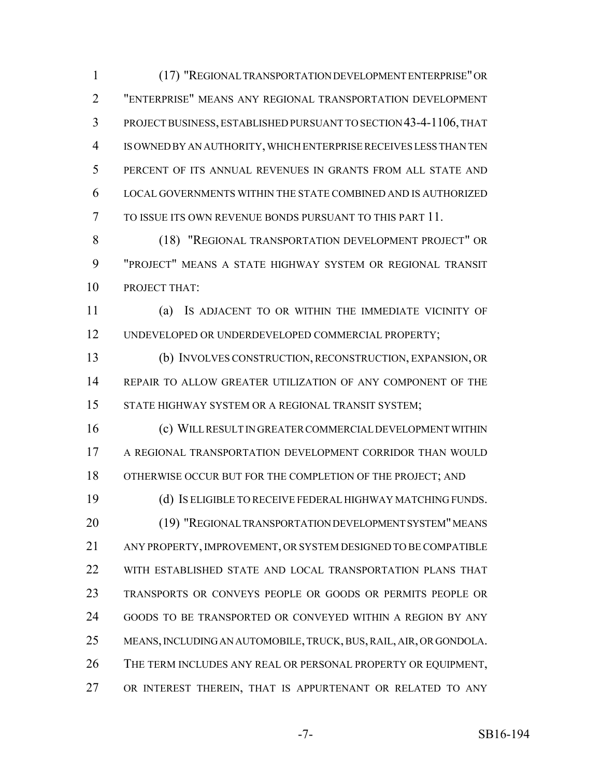(17) "REGIONAL TRANSPORTATION DEVELOPMENT ENTERPRISE" OR "ENTERPRISE" MEANS ANY REGIONAL TRANSPORTATION DEVELOPMENT PROJECT BUSINESS, ESTABLISHED PURSUANT TO SECTION 43-4-1106, THAT IS OWNED BY AN AUTHORITY, WHICH ENTERPRISE RECEIVES LESS THAN TEN PERCENT OF ITS ANNUAL REVENUES IN GRANTS FROM ALL STATE AND LOCAL GOVERNMENTS WITHIN THE STATE COMBINED AND IS AUTHORIZED TO ISSUE ITS OWN REVENUE BONDS PURSUANT TO THIS PART 11.

8 (18) "REGIONAL TRANSPORTATION DEVELOPMENT PROJECT" OR "PROJECT" MEANS A STATE HIGHWAY SYSTEM OR REGIONAL TRANSIT PROJECT THAT:

 (a) IS ADJACENT TO OR WITHIN THE IMMEDIATE VICINITY OF UNDEVELOPED OR UNDERDEVELOPED COMMERCIAL PROPERTY;

 (b) INVOLVES CONSTRUCTION, RECONSTRUCTION, EXPANSION, OR REPAIR TO ALLOW GREATER UTILIZATION OF ANY COMPONENT OF THE STATE HIGHWAY SYSTEM OR A REGIONAL TRANSIT SYSTEM;

 (c) WILL RESULT IN GREATER COMMERCIAL DEVELOPMENT WITHIN A REGIONAL TRANSPORTATION DEVELOPMENT CORRIDOR THAN WOULD 18 OTHERWISE OCCUR BUT FOR THE COMPLETION OF THE PROJECT; AND

 (d) IS ELIGIBLE TO RECEIVE FEDERAL HIGHWAY MATCHING FUNDS. (19) "REGIONAL TRANSPORTATION DEVELOPMENT SYSTEM" MEANS ANY PROPERTY, IMPROVEMENT, OR SYSTEM DESIGNED TO BE COMPATIBLE WITH ESTABLISHED STATE AND LOCAL TRANSPORTATION PLANS THAT TRANSPORTS OR CONVEYS PEOPLE OR GOODS OR PERMITS PEOPLE OR GOODS TO BE TRANSPORTED OR CONVEYED WITHIN A REGION BY ANY MEANS, INCLUDING AN AUTOMOBILE, TRUCK, BUS, RAIL, AIR, OR GONDOLA. THE TERM INCLUDES ANY REAL OR PERSONAL PROPERTY OR EQUIPMENT, OR INTEREST THEREIN, THAT IS APPURTENANT OR RELATED TO ANY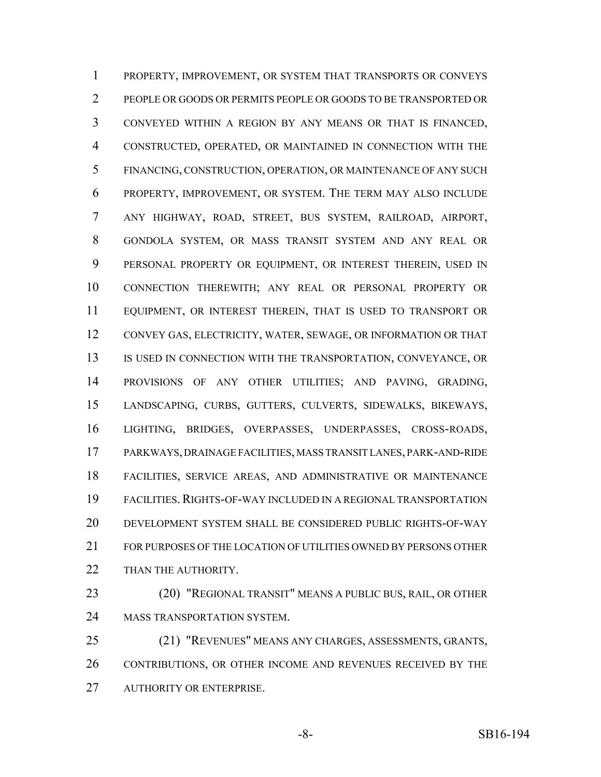PROPERTY, IMPROVEMENT, OR SYSTEM THAT TRANSPORTS OR CONVEYS PEOPLE OR GOODS OR PERMITS PEOPLE OR GOODS TO BE TRANSPORTED OR CONVEYED WITHIN A REGION BY ANY MEANS OR THAT IS FINANCED, CONSTRUCTED, OPERATED, OR MAINTAINED IN CONNECTION WITH THE FINANCING, CONSTRUCTION, OPERATION, OR MAINTENANCE OF ANY SUCH PROPERTY, IMPROVEMENT, OR SYSTEM. THE TERM MAY ALSO INCLUDE ANY HIGHWAY, ROAD, STREET, BUS SYSTEM, RAILROAD, AIRPORT, GONDOLA SYSTEM, OR MASS TRANSIT SYSTEM AND ANY REAL OR PERSONAL PROPERTY OR EQUIPMENT, OR INTEREST THEREIN, USED IN CONNECTION THEREWITH; ANY REAL OR PERSONAL PROPERTY OR EQUIPMENT, OR INTEREST THEREIN, THAT IS USED TO TRANSPORT OR CONVEY GAS, ELECTRICITY, WATER, SEWAGE, OR INFORMATION OR THAT 13 IS USED IN CONNECTION WITH THE TRANSPORTATION, CONVEYANCE, OR PROVISIONS OF ANY OTHER UTILITIES; AND PAVING, GRADING, LANDSCAPING, CURBS, GUTTERS, CULVERTS, SIDEWALKS, BIKEWAYS, LIGHTING, BRIDGES, OVERPASSES, UNDERPASSES, CROSS-ROADS, PARKWAYS, DRAINAGE FACILITIES, MASS TRANSIT LANES, PARK-AND-RIDE FACILITIES, SERVICE AREAS, AND ADMINISTRATIVE OR MAINTENANCE FACILITIES.RIGHTS-OF-WAY INCLUDED IN A REGIONAL TRANSPORTATION DEVELOPMENT SYSTEM SHALL BE CONSIDERED PUBLIC RIGHTS-OF-WAY FOR PURPOSES OF THE LOCATION OF UTILITIES OWNED BY PERSONS OTHER 22 THAN THE AUTHORITY.

 (20) "REGIONAL TRANSIT" MEANS A PUBLIC BUS, RAIL, OR OTHER MASS TRANSPORTATION SYSTEM.

 (21) "REVENUES" MEANS ANY CHARGES, ASSESSMENTS, GRANTS, CONTRIBUTIONS, OR OTHER INCOME AND REVENUES RECEIVED BY THE AUTHORITY OR ENTERPRISE.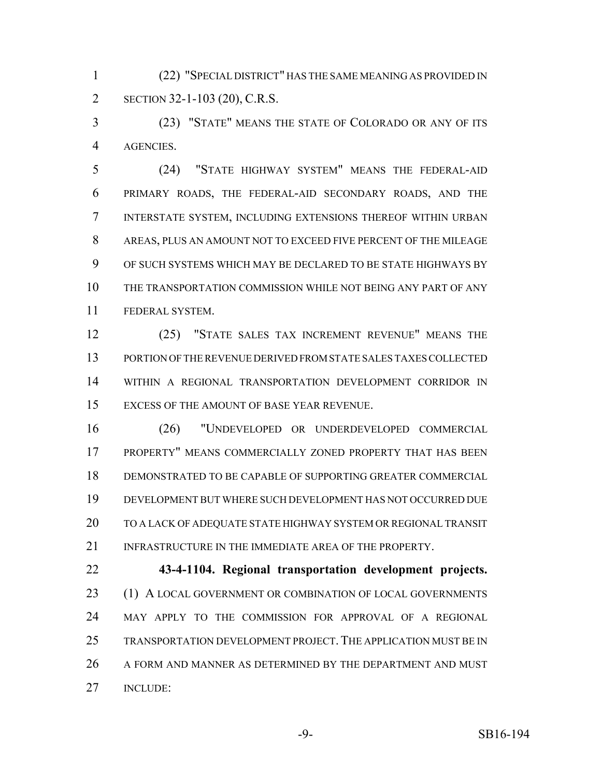(22) "SPECIAL DISTRICT" HAS THE SAME MEANING AS PROVIDED IN SECTION 32-1-103 (20), C.R.S.

 (23) "STATE" MEANS THE STATE OF COLORADO OR ANY OF ITS AGENCIES.

 (24) "STATE HIGHWAY SYSTEM" MEANS THE FEDERAL-AID PRIMARY ROADS, THE FEDERAL-AID SECONDARY ROADS, AND THE INTERSTATE SYSTEM, INCLUDING EXTENSIONS THEREOF WITHIN URBAN AREAS, PLUS AN AMOUNT NOT TO EXCEED FIVE PERCENT OF THE MILEAGE OF SUCH SYSTEMS WHICH MAY BE DECLARED TO BE STATE HIGHWAYS BY THE TRANSPORTATION COMMISSION WHILE NOT BEING ANY PART OF ANY FEDERAL SYSTEM.

 (25) "STATE SALES TAX INCREMENT REVENUE" MEANS THE PORTION OF THE REVENUE DERIVED FROM STATE SALES TAXES COLLECTED WITHIN A REGIONAL TRANSPORTATION DEVELOPMENT CORRIDOR IN EXCESS OF THE AMOUNT OF BASE YEAR REVENUE.

 (26) "UNDEVELOPED OR UNDERDEVELOPED COMMERCIAL PROPERTY" MEANS COMMERCIALLY ZONED PROPERTY THAT HAS BEEN DEMONSTRATED TO BE CAPABLE OF SUPPORTING GREATER COMMERCIAL DEVELOPMENT BUT WHERE SUCH DEVELOPMENT HAS NOT OCCURRED DUE TO A LACK OF ADEQUATE STATE HIGHWAY SYSTEM OR REGIONAL TRANSIT 21 INFRASTRUCTURE IN THE IMMEDIATE AREA OF THE PROPERTY.

 **43-4-1104. Regional transportation development projects.** 23 (1) A LOCAL GOVERNMENT OR COMBINATION OF LOCAL GOVERNMENTS MAY APPLY TO THE COMMISSION FOR APPROVAL OF A REGIONAL 25 TRANSPORTATION DEVELOPMENT PROJECT. THE APPLICATION MUST BE IN 26 A FORM AND MANNER AS DETERMINED BY THE DEPARTMENT AND MUST INCLUDE: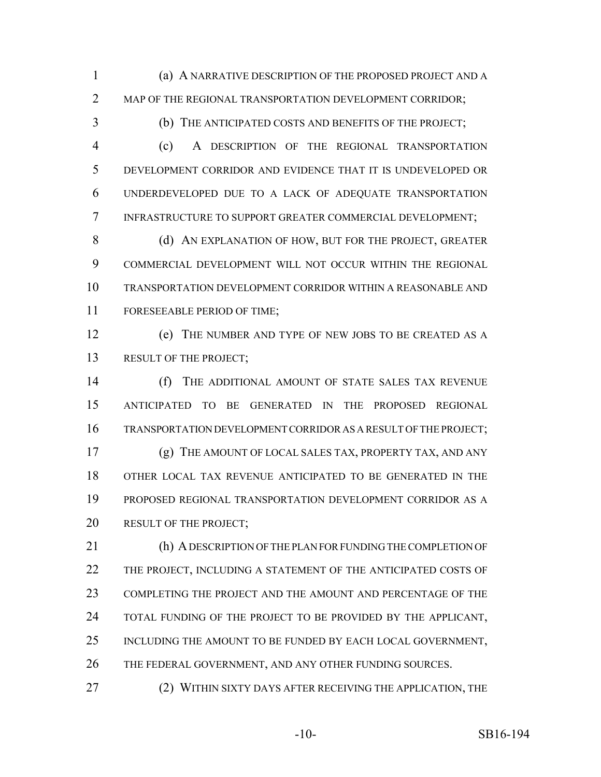(a) A NARRATIVE DESCRIPTION OF THE PROPOSED PROJECT AND A MAP OF THE REGIONAL TRANSPORTATION DEVELOPMENT CORRIDOR;

(b) THE ANTICIPATED COSTS AND BENEFITS OF THE PROJECT;

 (c) A DESCRIPTION OF THE REGIONAL TRANSPORTATION DEVELOPMENT CORRIDOR AND EVIDENCE THAT IT IS UNDEVELOPED OR UNDERDEVELOPED DUE TO A LACK OF ADEQUATE TRANSPORTATION INFRASTRUCTURE TO SUPPORT GREATER COMMERCIAL DEVELOPMENT;

8 (d) AN EXPLANATION OF HOW, BUT FOR THE PROJECT, GREATER COMMERCIAL DEVELOPMENT WILL NOT OCCUR WITHIN THE REGIONAL TRANSPORTATION DEVELOPMENT CORRIDOR WITHIN A REASONABLE AND FORESEEABLE PERIOD OF TIME;

 (e) THE NUMBER AND TYPE OF NEW JOBS TO BE CREATED AS A 13 RESULT OF THE PROJECT;

 (f) THE ADDITIONAL AMOUNT OF STATE SALES TAX REVENUE ANTICIPATED TO BE GENERATED IN THE PROPOSED REGIONAL TRANSPORTATION DEVELOPMENT CORRIDOR AS A RESULT OF THE PROJECT; (g) THE AMOUNT OF LOCAL SALES TAX, PROPERTY TAX, AND ANY OTHER LOCAL TAX REVENUE ANTICIPATED TO BE GENERATED IN THE PROPOSED REGIONAL TRANSPORTATION DEVELOPMENT CORRIDOR AS A 20 RESULT OF THE PROJECT;

 (h) A DESCRIPTION OF THE PLAN FOR FUNDING THE COMPLETION OF THE PROJECT, INCLUDING A STATEMENT OF THE ANTICIPATED COSTS OF COMPLETING THE PROJECT AND THE AMOUNT AND PERCENTAGE OF THE 24 TOTAL FUNDING OF THE PROJECT TO BE PROVIDED BY THE APPLICANT, 25 INCLUDING THE AMOUNT TO BE FUNDED BY EACH LOCAL GOVERNMENT, 26 THE FEDERAL GOVERNMENT, AND ANY OTHER FUNDING SOURCES.

27 (2) WITHIN SIXTY DAYS AFTER RECEIVING THE APPLICATION, THE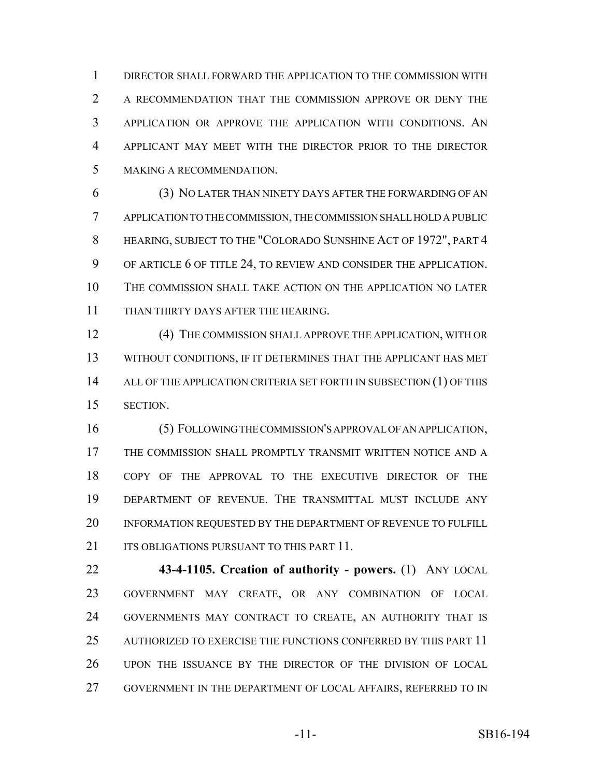DIRECTOR SHALL FORWARD THE APPLICATION TO THE COMMISSION WITH A RECOMMENDATION THAT THE COMMISSION APPROVE OR DENY THE APPLICATION OR APPROVE THE APPLICATION WITH CONDITIONS. AN APPLICANT MAY MEET WITH THE DIRECTOR PRIOR TO THE DIRECTOR MAKING A RECOMMENDATION.

 (3) NO LATER THAN NINETY DAYS AFTER THE FORWARDING OF AN APPLICATION TO THE COMMISSION, THE COMMISSION SHALL HOLD A PUBLIC HEARING, SUBJECT TO THE "COLORADO SUNSHINE ACT OF 1972", PART 4 OF ARTICLE 6 OF TITLE 24, TO REVIEW AND CONSIDER THE APPLICATION. THE COMMISSION SHALL TAKE ACTION ON THE APPLICATION NO LATER 11 THAN THIRTY DAYS AFTER THE HEARING.

 (4) THE COMMISSION SHALL APPROVE THE APPLICATION, WITH OR WITHOUT CONDITIONS, IF IT DETERMINES THAT THE APPLICANT HAS MET 14 ALL OF THE APPLICATION CRITERIA SET FORTH IN SUBSECTION (1) OF THIS SECTION.

 (5) FOLLOWING THE COMMISSION'S APPROVAL OF AN APPLICATION, THE COMMISSION SHALL PROMPTLY TRANSMIT WRITTEN NOTICE AND A COPY OF THE APPROVAL TO THE EXECUTIVE DIRECTOR OF THE DEPARTMENT OF REVENUE. THE TRANSMITTAL MUST INCLUDE ANY INFORMATION REQUESTED BY THE DEPARTMENT OF REVENUE TO FULFILL 21 ITS OBLIGATIONS PURSUANT TO THIS PART 11.

 **43-4-1105. Creation of authority - powers.** (1) ANY LOCAL GOVERNMENT MAY CREATE, OR ANY COMBINATION OF LOCAL GOVERNMENTS MAY CONTRACT TO CREATE, AN AUTHORITY THAT IS AUTHORIZED TO EXERCISE THE FUNCTIONS CONFERRED BY THIS PART 11 UPON THE ISSUANCE BY THE DIRECTOR OF THE DIVISION OF LOCAL GOVERNMENT IN THE DEPARTMENT OF LOCAL AFFAIRS, REFERRED TO IN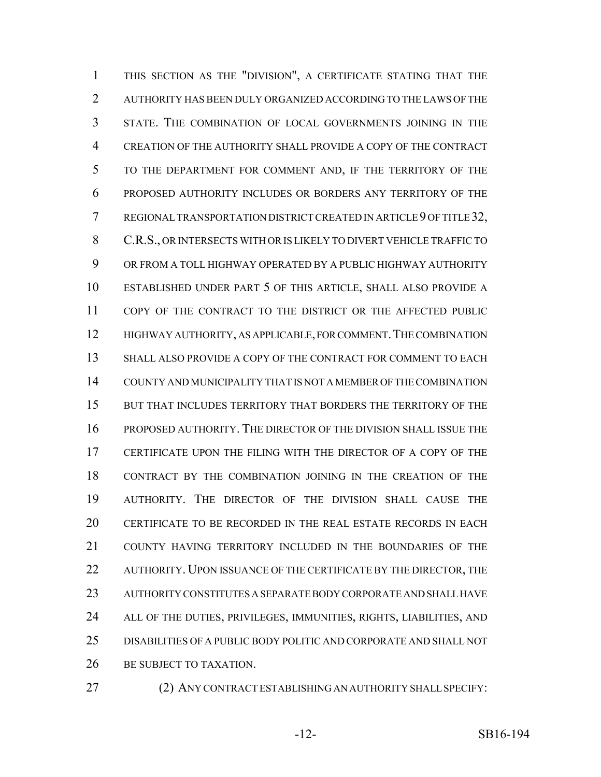THIS SECTION AS THE "DIVISION", A CERTIFICATE STATING THAT THE AUTHORITY HAS BEEN DULY ORGANIZED ACCORDING TO THE LAWS OF THE STATE. THE COMBINATION OF LOCAL GOVERNMENTS JOINING IN THE CREATION OF THE AUTHORITY SHALL PROVIDE A COPY OF THE CONTRACT TO THE DEPARTMENT FOR COMMENT AND, IF THE TERRITORY OF THE PROPOSED AUTHORITY INCLUDES OR BORDERS ANY TERRITORY OF THE REGIONAL TRANSPORTATION DISTRICT CREATED IN ARTICLE 9 OF TITLE 32, C.R.S., OR INTERSECTS WITH OR IS LIKELY TO DIVERT VEHICLE TRAFFIC TO OR FROM A TOLL HIGHWAY OPERATED BY A PUBLIC HIGHWAY AUTHORITY ESTABLISHED UNDER PART 5 OF THIS ARTICLE, SHALL ALSO PROVIDE A COPY OF THE CONTRACT TO THE DISTRICT OR THE AFFECTED PUBLIC 12 HIGHWAY AUTHORITY, AS APPLICABLE, FOR COMMENT. THE COMBINATION SHALL ALSO PROVIDE A COPY OF THE CONTRACT FOR COMMENT TO EACH COUNTY AND MUNICIPALITY THAT IS NOT A MEMBER OF THE COMBINATION 15 BUT THAT INCLUDES TERRITORY THAT BORDERS THE TERRITORY OF THE PROPOSED AUTHORITY. THE DIRECTOR OF THE DIVISION SHALL ISSUE THE CERTIFICATE UPON THE FILING WITH THE DIRECTOR OF A COPY OF THE CONTRACT BY THE COMBINATION JOINING IN THE CREATION OF THE AUTHORITY. THE DIRECTOR OF THE DIVISION SHALL CAUSE THE CERTIFICATE TO BE RECORDED IN THE REAL ESTATE RECORDS IN EACH COUNTY HAVING TERRITORY INCLUDED IN THE BOUNDARIES OF THE 22 AUTHORITY. UPON ISSUANCE OF THE CERTIFICATE BY THE DIRECTOR, THE AUTHORITY CONSTITUTES A SEPARATE BODY CORPORATE AND SHALL HAVE ALL OF THE DUTIES, PRIVILEGES, IMMUNITIES, RIGHTS, LIABILITIES, AND DISABILITIES OF A PUBLIC BODY POLITIC AND CORPORATE AND SHALL NOT 26 BE SUBJECT TO TAXATION.

(2) ANY CONTRACT ESTABLISHING AN AUTHORITY SHALL SPECIFY: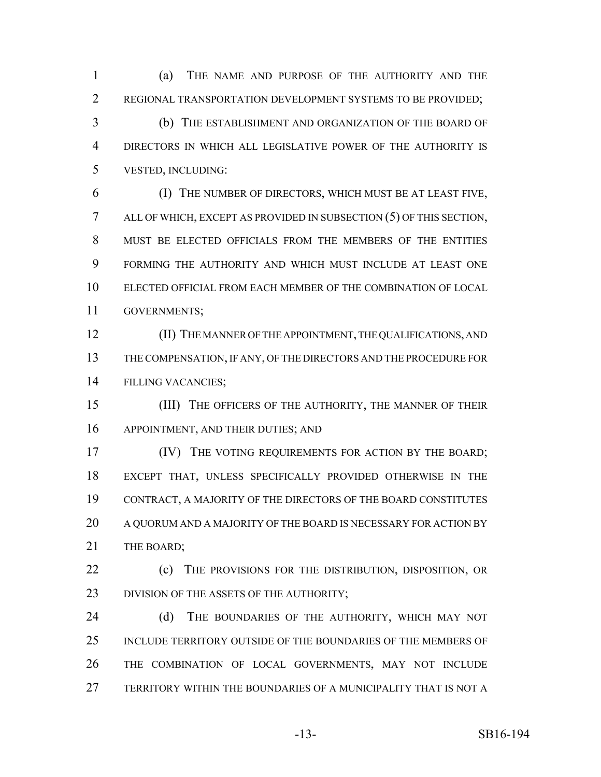(a) THE NAME AND PURPOSE OF THE AUTHORITY AND THE REGIONAL TRANSPORTATION DEVELOPMENT SYSTEMS TO BE PROVIDED;

 (b) THE ESTABLISHMENT AND ORGANIZATION OF THE BOARD OF DIRECTORS IN WHICH ALL LEGISLATIVE POWER OF THE AUTHORITY IS VESTED, INCLUDING:

 (I) THE NUMBER OF DIRECTORS, WHICH MUST BE AT LEAST FIVE, ALL OF WHICH, EXCEPT AS PROVIDED IN SUBSECTION (5) OF THIS SECTION, 8 MUST BE ELECTED OFFICIALS FROM THE MEMBERS OF THE ENTITIES FORMING THE AUTHORITY AND WHICH MUST INCLUDE AT LEAST ONE ELECTED OFFICIAL FROM EACH MEMBER OF THE COMBINATION OF LOCAL GOVERNMENTS;

 (II) THE MANNER OF THE APPOINTMENT, THE QUALIFICATIONS, AND THE COMPENSATION, IF ANY, OF THE DIRECTORS AND THE PROCEDURE FOR FILLING VACANCIES;

15 (III) THE OFFICERS OF THE AUTHORITY, THE MANNER OF THEIR APPOINTMENT, AND THEIR DUTIES; AND

**IV)** THE VOTING REQUIREMENTS FOR ACTION BY THE BOARD; EXCEPT THAT, UNLESS SPECIFICALLY PROVIDED OTHERWISE IN THE CONTRACT, A MAJORITY OF THE DIRECTORS OF THE BOARD CONSTITUTES A QUORUM AND A MAJORITY OF THE BOARD IS NECESSARY FOR ACTION BY 21 THE BOARD:

**(c)** THE PROVISIONS FOR THE DISTRIBUTION, DISPOSITION, OR 23 DIVISION OF THE ASSETS OF THE AUTHORITY;

24 (d) THE BOUNDARIES OF THE AUTHORITY, WHICH MAY NOT INCLUDE TERRITORY OUTSIDE OF THE BOUNDARIES OF THE MEMBERS OF THE COMBINATION OF LOCAL GOVERNMENTS, MAY NOT INCLUDE TERRITORY WITHIN THE BOUNDARIES OF A MUNICIPALITY THAT IS NOT A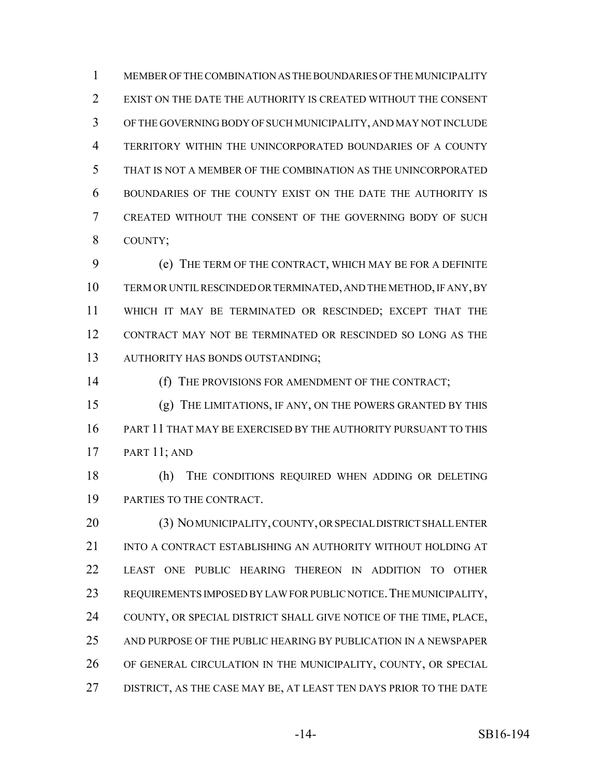MEMBER OF THE COMBINATION AS THE BOUNDARIES OF THE MUNICIPALITY EXIST ON THE DATE THE AUTHORITY IS CREATED WITHOUT THE CONSENT OF THE GOVERNING BODY OF SUCH MUNICIPALITY, AND MAY NOT INCLUDE TERRITORY WITHIN THE UNINCORPORATED BOUNDARIES OF A COUNTY THAT IS NOT A MEMBER OF THE COMBINATION AS THE UNINCORPORATED BOUNDARIES OF THE COUNTY EXIST ON THE DATE THE AUTHORITY IS CREATED WITHOUT THE CONSENT OF THE GOVERNING BODY OF SUCH COUNTY;

 (e) THE TERM OF THE CONTRACT, WHICH MAY BE FOR A DEFINITE TERM OR UNTIL RESCINDED OR TERMINATED, AND THE METHOD, IF ANY, BY WHICH IT MAY BE TERMINATED OR RESCINDED; EXCEPT THAT THE CONTRACT MAY NOT BE TERMINATED OR RESCINDED SO LONG AS THE AUTHORITY HAS BONDS OUTSTANDING;

(f) THE PROVISIONS FOR AMENDMENT OF THE CONTRACT;

 (g) THE LIMITATIONS, IF ANY, ON THE POWERS GRANTED BY THIS PART 11 THAT MAY BE EXERCISED BY THE AUTHORITY PURSUANT TO THIS PART 11; AND

 (h) THE CONDITIONS REQUIRED WHEN ADDING OR DELETING PARTIES TO THE CONTRACT.

 (3) NO MUNICIPALITY, COUNTY, OR SPECIAL DISTRICT SHALL ENTER INTO A CONTRACT ESTABLISHING AN AUTHORITY WITHOUT HOLDING AT LEAST ONE PUBLIC HEARING THEREON IN ADDITION TO OTHER REQUIREMENTS IMPOSED BY LAW FOR PUBLIC NOTICE.THE MUNICIPALITY, COUNTY, OR SPECIAL DISTRICT SHALL GIVE NOTICE OF THE TIME, PLACE, AND PURPOSE OF THE PUBLIC HEARING BY PUBLICATION IN A NEWSPAPER OF GENERAL CIRCULATION IN THE MUNICIPALITY, COUNTY, OR SPECIAL DISTRICT, AS THE CASE MAY BE, AT LEAST TEN DAYS PRIOR TO THE DATE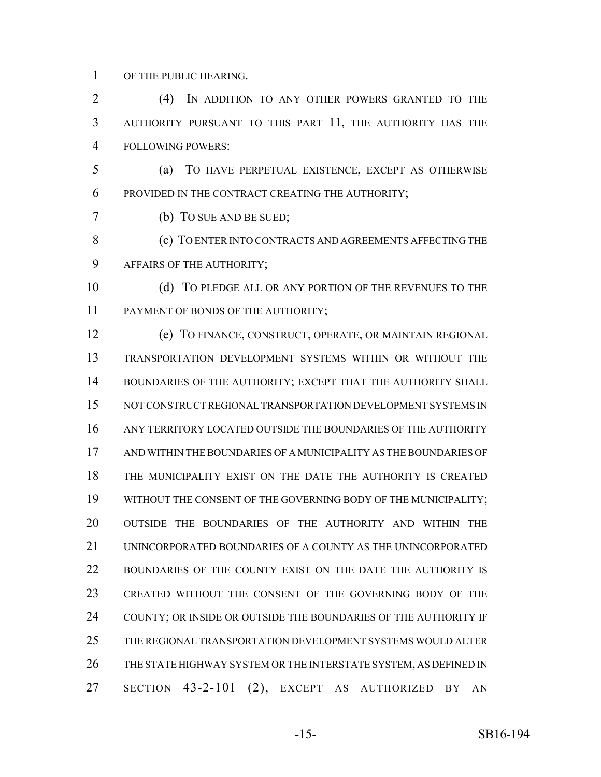OF THE PUBLIC HEARING.

 (4) IN ADDITION TO ANY OTHER POWERS GRANTED TO THE AUTHORITY PURSUANT TO THIS PART 11, THE AUTHORITY HAS THE FOLLOWING POWERS:

 (a) TO HAVE PERPETUAL EXISTENCE, EXCEPT AS OTHERWISE PROVIDED IN THE CONTRACT CREATING THE AUTHORITY;

(b) TO SUE AND BE SUED;

**(c)** TO ENTER INTO CONTRACTS AND AGREEMENTS AFFECTING THE AFFAIRS OF THE AUTHORITY;

10 (d) TO PLEDGE ALL OR ANY PORTION OF THE REVENUES TO THE 11 PAYMENT OF BONDS OF THE AUTHORITY;

 (e) TO FINANCE, CONSTRUCT, OPERATE, OR MAINTAIN REGIONAL TRANSPORTATION DEVELOPMENT SYSTEMS WITHIN OR WITHOUT THE BOUNDARIES OF THE AUTHORITY; EXCEPT THAT THE AUTHORITY SHALL NOT CONSTRUCT REGIONAL TRANSPORTATION DEVELOPMENT SYSTEMS IN ANY TERRITORY LOCATED OUTSIDE THE BOUNDARIES OF THE AUTHORITY AND WITHIN THE BOUNDARIES OF A MUNICIPALITY AS THE BOUNDARIES OF THE MUNICIPALITY EXIST ON THE DATE THE AUTHORITY IS CREATED WITHOUT THE CONSENT OF THE GOVERNING BODY OF THE MUNICIPALITY; OUTSIDE THE BOUNDARIES OF THE AUTHORITY AND WITHIN THE 21 UNINCORPORATED BOUNDARIES OF A COUNTY AS THE UNINCORPORATED BOUNDARIES OF THE COUNTY EXIST ON THE DATE THE AUTHORITY IS CREATED WITHOUT THE CONSENT OF THE GOVERNING BODY OF THE COUNTY; OR INSIDE OR OUTSIDE THE BOUNDARIES OF THE AUTHORITY IF THE REGIONAL TRANSPORTATION DEVELOPMENT SYSTEMS WOULD ALTER THE STATE HIGHWAY SYSTEM OR THE INTERSTATE SYSTEM, AS DEFINED IN SECTION 43-2-101 (2), EXCEPT AS AUTHORIZED BY AN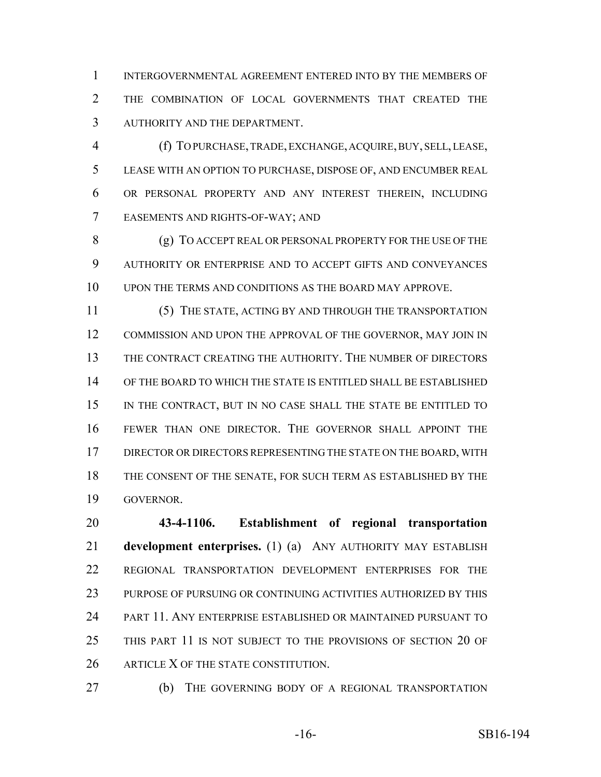INTERGOVERNMENTAL AGREEMENT ENTERED INTO BY THE MEMBERS OF THE COMBINATION OF LOCAL GOVERNMENTS THAT CREATED THE AUTHORITY AND THE DEPARTMENT.

 (f) TO PURCHASE, TRADE, EXCHANGE, ACQUIRE, BUY, SELL, LEASE, LEASE WITH AN OPTION TO PURCHASE, DISPOSE OF, AND ENCUMBER REAL OR PERSONAL PROPERTY AND ANY INTEREST THEREIN, INCLUDING EASEMENTS AND RIGHTS-OF-WAY; AND

 (g) TO ACCEPT REAL OR PERSONAL PROPERTY FOR THE USE OF THE AUTHORITY OR ENTERPRISE AND TO ACCEPT GIFTS AND CONVEYANCES UPON THE TERMS AND CONDITIONS AS THE BOARD MAY APPROVE.

 (5) THE STATE, ACTING BY AND THROUGH THE TRANSPORTATION COMMISSION AND UPON THE APPROVAL OF THE GOVERNOR, MAY JOIN IN THE CONTRACT CREATING THE AUTHORITY. THE NUMBER OF DIRECTORS OF THE BOARD TO WHICH THE STATE IS ENTITLED SHALL BE ESTABLISHED IN THE CONTRACT, BUT IN NO CASE SHALL THE STATE BE ENTITLED TO FEWER THAN ONE DIRECTOR. THE GOVERNOR SHALL APPOINT THE DIRECTOR OR DIRECTORS REPRESENTING THE STATE ON THE BOARD, WITH THE CONSENT OF THE SENATE, FOR SUCH TERM AS ESTABLISHED BY THE GOVERNOR.

 **43-4-1106. Establishment of regional transportation development enterprises.** (1) (a) ANY AUTHORITY MAY ESTABLISH REGIONAL TRANSPORTATION DEVELOPMENT ENTERPRISES FOR THE PURPOSE OF PURSUING OR CONTINUING ACTIVITIES AUTHORIZED BY THIS PART 11. ANY ENTERPRISE ESTABLISHED OR MAINTAINED PURSUANT TO THIS PART 11 IS NOT SUBJECT TO THE PROVISIONS OF SECTION 20 OF 26 ARTICLE X OF THE STATE CONSTITUTION.

(b) THE GOVERNING BODY OF A REGIONAL TRANSPORTATION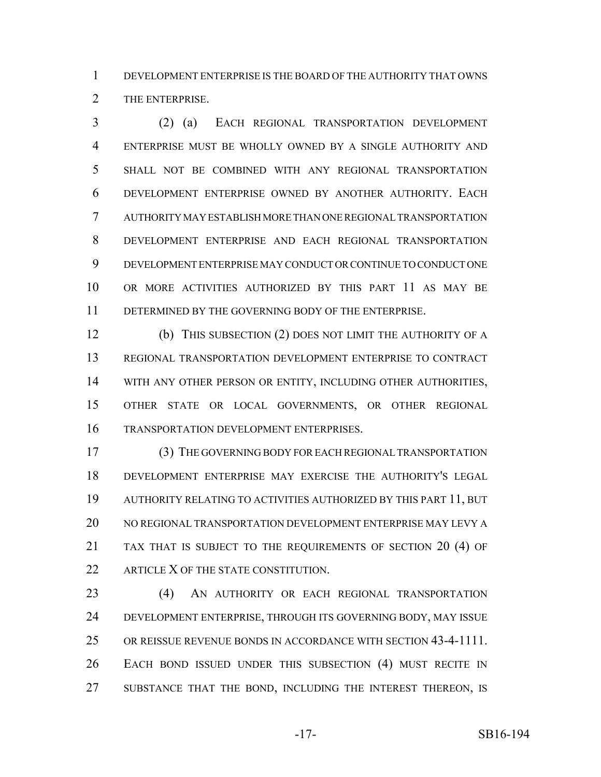DEVELOPMENT ENTERPRISE IS THE BOARD OF THE AUTHORITY THAT OWNS THE ENTERPRISE.

 (2) (a) EACH REGIONAL TRANSPORTATION DEVELOPMENT ENTERPRISE MUST BE WHOLLY OWNED BY A SINGLE AUTHORITY AND SHALL NOT BE COMBINED WITH ANY REGIONAL TRANSPORTATION DEVELOPMENT ENTERPRISE OWNED BY ANOTHER AUTHORITY. EACH AUTHORITY MAY ESTABLISH MORE THAN ONE REGIONAL TRANSPORTATION DEVELOPMENT ENTERPRISE AND EACH REGIONAL TRANSPORTATION DEVELOPMENT ENTERPRISE MAY CONDUCT OR CONTINUE TO CONDUCT ONE OR MORE ACTIVITIES AUTHORIZED BY THIS PART 11 AS MAY BE DETERMINED BY THE GOVERNING BODY OF THE ENTERPRISE.

 (b) THIS SUBSECTION (2) DOES NOT LIMIT THE AUTHORITY OF A REGIONAL TRANSPORTATION DEVELOPMENT ENTERPRISE TO CONTRACT WITH ANY OTHER PERSON OR ENTITY, INCLUDING OTHER AUTHORITIES, OTHER STATE OR LOCAL GOVERNMENTS, OR OTHER REGIONAL TRANSPORTATION DEVELOPMENT ENTERPRISES.

 (3) THE GOVERNING BODY FOR EACH REGIONAL TRANSPORTATION DEVELOPMENT ENTERPRISE MAY EXERCISE THE AUTHORITY'S LEGAL AUTHORITY RELATING TO ACTIVITIES AUTHORIZED BY THIS PART 11, BUT NO REGIONAL TRANSPORTATION DEVELOPMENT ENTERPRISE MAY LEVY A TAX THAT IS SUBJECT TO THE REQUIREMENTS OF SECTION 20 (4) OF 22 ARTICLE X OF THE STATE CONSTITUTION.

 (4) AN AUTHORITY OR EACH REGIONAL TRANSPORTATION DEVELOPMENT ENTERPRISE, THROUGH ITS GOVERNING BODY, MAY ISSUE OR REISSUE REVENUE BONDS IN ACCORDANCE WITH SECTION 43-4-1111. EACH BOND ISSUED UNDER THIS SUBSECTION (4) MUST RECITE IN 27 SUBSTANCE THAT THE BOND, INCLUDING THE INTEREST THEREON, IS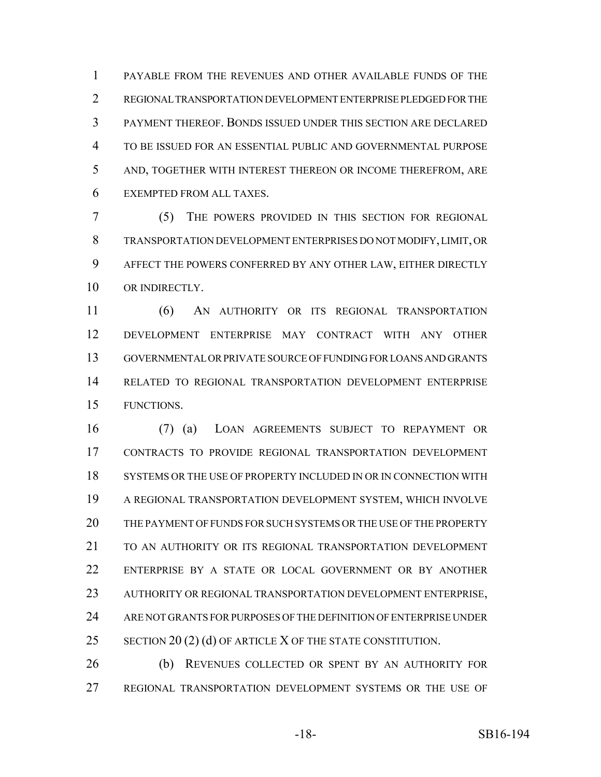PAYABLE FROM THE REVENUES AND OTHER AVAILABLE FUNDS OF THE REGIONAL TRANSPORTATION DEVELOPMENT ENTERPRISE PLEDGED FOR THE PAYMENT THEREOF. BONDS ISSUED UNDER THIS SECTION ARE DECLARED TO BE ISSUED FOR AN ESSENTIAL PUBLIC AND GOVERNMENTAL PURPOSE AND, TOGETHER WITH INTEREST THEREON OR INCOME THEREFROM, ARE EXEMPTED FROM ALL TAXES.

 (5) THE POWERS PROVIDED IN THIS SECTION FOR REGIONAL TRANSPORTATION DEVELOPMENT ENTERPRISES DO NOT MODIFY, LIMIT, OR AFFECT THE POWERS CONFERRED BY ANY OTHER LAW, EITHER DIRECTLY 10 OR INDIRECTLY.

 (6) AN AUTHORITY OR ITS REGIONAL TRANSPORTATION DEVELOPMENT ENTERPRISE MAY CONTRACT WITH ANY OTHER GOVERNMENTAL OR PRIVATE SOURCE OF FUNDING FOR LOANS AND GRANTS RELATED TO REGIONAL TRANSPORTATION DEVELOPMENT ENTERPRISE FUNCTIONS.

 (7) (a) LOAN AGREEMENTS SUBJECT TO REPAYMENT OR CONTRACTS TO PROVIDE REGIONAL TRANSPORTATION DEVELOPMENT SYSTEMS OR THE USE OF PROPERTY INCLUDED IN OR IN CONNECTION WITH A REGIONAL TRANSPORTATION DEVELOPMENT SYSTEM, WHICH INVOLVE THE PAYMENT OF FUNDS FOR SUCH SYSTEMS OR THE USE OF THE PROPERTY TO AN AUTHORITY OR ITS REGIONAL TRANSPORTATION DEVELOPMENT ENTERPRISE BY A STATE OR LOCAL GOVERNMENT OR BY ANOTHER 23 AUTHORITY OR REGIONAL TRANSPORTATION DEVELOPMENT ENTERPRISE, ARE NOT GRANTS FOR PURPOSES OF THE DEFINITION OF ENTERPRISE UNDER 25 SECTION 20 (2) (d) OF ARTICLE X OF THE STATE CONSTITUTION.

 (b) REVENUES COLLECTED OR SPENT BY AN AUTHORITY FOR REGIONAL TRANSPORTATION DEVELOPMENT SYSTEMS OR THE USE OF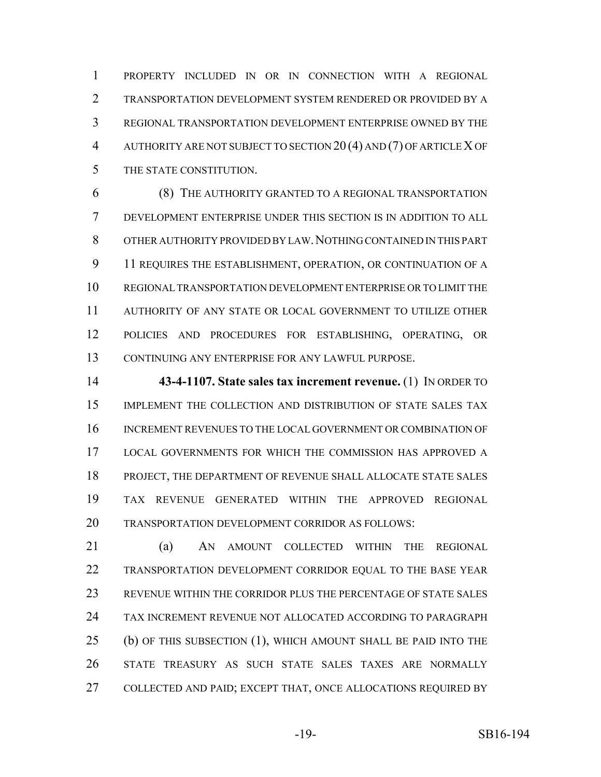PROPERTY INCLUDED IN OR IN CONNECTION WITH A REGIONAL TRANSPORTATION DEVELOPMENT SYSTEM RENDERED OR PROVIDED BY A REGIONAL TRANSPORTATION DEVELOPMENT ENTERPRISE OWNED BY THE AUTHORITY ARE NOT SUBJECT TO SECTION 20 (4) AND (7) OF ARTICLE X OF THE STATE CONSTITUTION.

 (8) THE AUTHORITY GRANTED TO A REGIONAL TRANSPORTATION DEVELOPMENT ENTERPRISE UNDER THIS SECTION IS IN ADDITION TO ALL OTHER AUTHORITY PROVIDED BY LAW.NOTHING CONTAINED IN THIS PART 9 11 REQUIRES THE ESTABLISHMENT, OPERATION, OR CONTINUATION OF A REGIONAL TRANSPORTATION DEVELOPMENT ENTERPRISE OR TO LIMIT THE AUTHORITY OF ANY STATE OR LOCAL GOVERNMENT TO UTILIZE OTHER POLICIES AND PROCEDURES FOR ESTABLISHING, OPERATING, OR CONTINUING ANY ENTERPRISE FOR ANY LAWFUL PURPOSE.

 **43-4-1107. State sales tax increment revenue.** (1) IN ORDER TO IMPLEMENT THE COLLECTION AND DISTRIBUTION OF STATE SALES TAX INCREMENT REVENUES TO THE LOCAL GOVERNMENT OR COMBINATION OF LOCAL GOVERNMENTS FOR WHICH THE COMMISSION HAS APPROVED A PROJECT, THE DEPARTMENT OF REVENUE SHALL ALLOCATE STATE SALES TAX REVENUE GENERATED WITHIN THE APPROVED REGIONAL TRANSPORTATION DEVELOPMENT CORRIDOR AS FOLLOWS:

 (a) AN AMOUNT COLLECTED WITHIN THE REGIONAL TRANSPORTATION DEVELOPMENT CORRIDOR EQUAL TO THE BASE YEAR REVENUE WITHIN THE CORRIDOR PLUS THE PERCENTAGE OF STATE SALES TAX INCREMENT REVENUE NOT ALLOCATED ACCORDING TO PARAGRAPH (b) OF THIS SUBSECTION (1), WHICH AMOUNT SHALL BE PAID INTO THE STATE TREASURY AS SUCH STATE SALES TAXES ARE NORMALLY COLLECTED AND PAID; EXCEPT THAT, ONCE ALLOCATIONS REQUIRED BY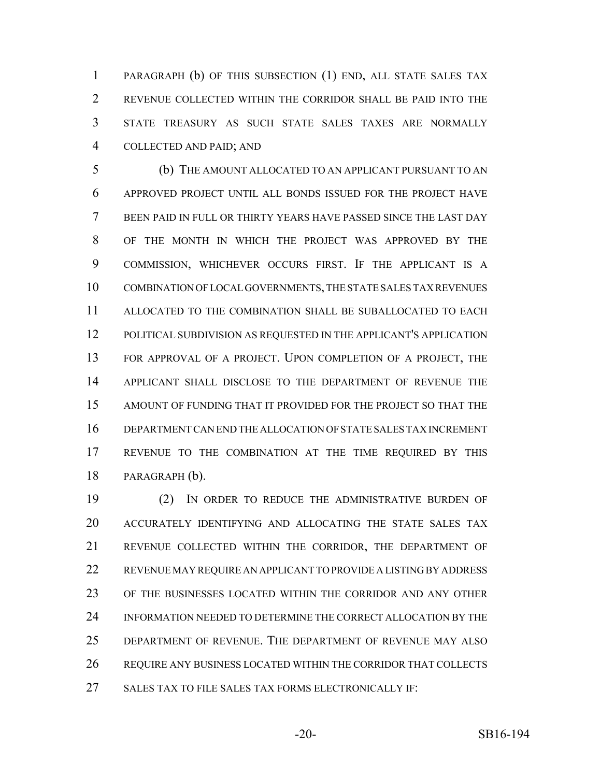PARAGRAPH (b) OF THIS SUBSECTION (1) END, ALL STATE SALES TAX REVENUE COLLECTED WITHIN THE CORRIDOR SHALL BE PAID INTO THE STATE TREASURY AS SUCH STATE SALES TAXES ARE NORMALLY COLLECTED AND PAID; AND

 (b) THE AMOUNT ALLOCATED TO AN APPLICANT PURSUANT TO AN APPROVED PROJECT UNTIL ALL BONDS ISSUED FOR THE PROJECT HAVE BEEN PAID IN FULL OR THIRTY YEARS HAVE PASSED SINCE THE LAST DAY OF THE MONTH IN WHICH THE PROJECT WAS APPROVED BY THE COMMISSION, WHICHEVER OCCURS FIRST. IF THE APPLICANT IS A COMBINATION OF LOCAL GOVERNMENTS, THE STATE SALES TAX REVENUES ALLOCATED TO THE COMBINATION SHALL BE SUBALLOCATED TO EACH POLITICAL SUBDIVISION AS REQUESTED IN THE APPLICANT'S APPLICATION FOR APPROVAL OF A PROJECT. UPON COMPLETION OF A PROJECT, THE APPLICANT SHALL DISCLOSE TO THE DEPARTMENT OF REVENUE THE AMOUNT OF FUNDING THAT IT PROVIDED FOR THE PROJECT SO THAT THE DEPARTMENT CAN END THE ALLOCATION OF STATE SALES TAX INCREMENT REVENUE TO THE COMBINATION AT THE TIME REQUIRED BY THIS PARAGRAPH (b).

 (2) IN ORDER TO REDUCE THE ADMINISTRATIVE BURDEN OF ACCURATELY IDENTIFYING AND ALLOCATING THE STATE SALES TAX REVENUE COLLECTED WITHIN THE CORRIDOR, THE DEPARTMENT OF REVENUE MAY REQUIRE AN APPLICANT TO PROVIDE A LISTING BY ADDRESS OF THE BUSINESSES LOCATED WITHIN THE CORRIDOR AND ANY OTHER INFORMATION NEEDED TO DETERMINE THE CORRECT ALLOCATION BY THE DEPARTMENT OF REVENUE. THE DEPARTMENT OF REVENUE MAY ALSO REQUIRE ANY BUSINESS LOCATED WITHIN THE CORRIDOR THAT COLLECTS 27 SALES TAX TO FILE SALES TAX FORMS ELECTRONICALLY IF: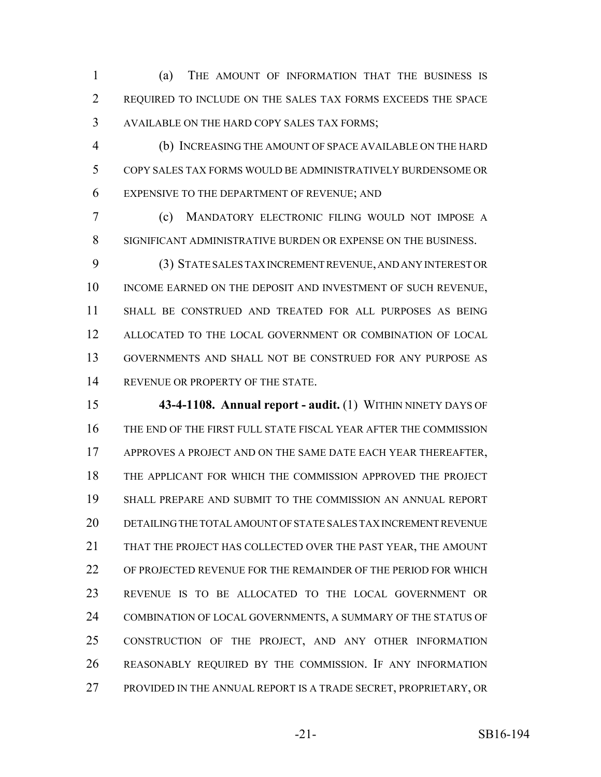(a) THE AMOUNT OF INFORMATION THAT THE BUSINESS IS REQUIRED TO INCLUDE ON THE SALES TAX FORMS EXCEEDS THE SPACE AVAILABLE ON THE HARD COPY SALES TAX FORMS;

 (b) INCREASING THE AMOUNT OF SPACE AVAILABLE ON THE HARD COPY SALES TAX FORMS WOULD BE ADMINISTRATIVELY BURDENSOME OR EXPENSIVE TO THE DEPARTMENT OF REVENUE; AND

 (c) MANDATORY ELECTRONIC FILING WOULD NOT IMPOSE A SIGNIFICANT ADMINISTRATIVE BURDEN OR EXPENSE ON THE BUSINESS.

 (3) STATE SALES TAX INCREMENT REVENUE, AND ANY INTEREST OR 10 INCOME EARNED ON THE DEPOSIT AND INVESTMENT OF SUCH REVENUE, SHALL BE CONSTRUED AND TREATED FOR ALL PURPOSES AS BEING ALLOCATED TO THE LOCAL GOVERNMENT OR COMBINATION OF LOCAL GOVERNMENTS AND SHALL NOT BE CONSTRUED FOR ANY PURPOSE AS 14 REVENUE OR PROPERTY OF THE STATE.

 **43-4-1108. Annual report - audit.** (1) WITHIN NINETY DAYS OF THE END OF THE FIRST FULL STATE FISCAL YEAR AFTER THE COMMISSION APPROVES A PROJECT AND ON THE SAME DATE EACH YEAR THEREAFTER, THE APPLICANT FOR WHICH THE COMMISSION APPROVED THE PROJECT SHALL PREPARE AND SUBMIT TO THE COMMISSION AN ANNUAL REPORT DETAILING THE TOTAL AMOUNT OF STATE SALES TAX INCREMENT REVENUE THAT THE PROJECT HAS COLLECTED OVER THE PAST YEAR, THE AMOUNT OF PROJECTED REVENUE FOR THE REMAINDER OF THE PERIOD FOR WHICH REVENUE IS TO BE ALLOCATED TO THE LOCAL GOVERNMENT OR COMBINATION OF LOCAL GOVERNMENTS, A SUMMARY OF THE STATUS OF CONSTRUCTION OF THE PROJECT, AND ANY OTHER INFORMATION REASONABLY REQUIRED BY THE COMMISSION. IF ANY INFORMATION 27 PROVIDED IN THE ANNUAL REPORT IS A TRADE SECRET, PROPRIETARY, OR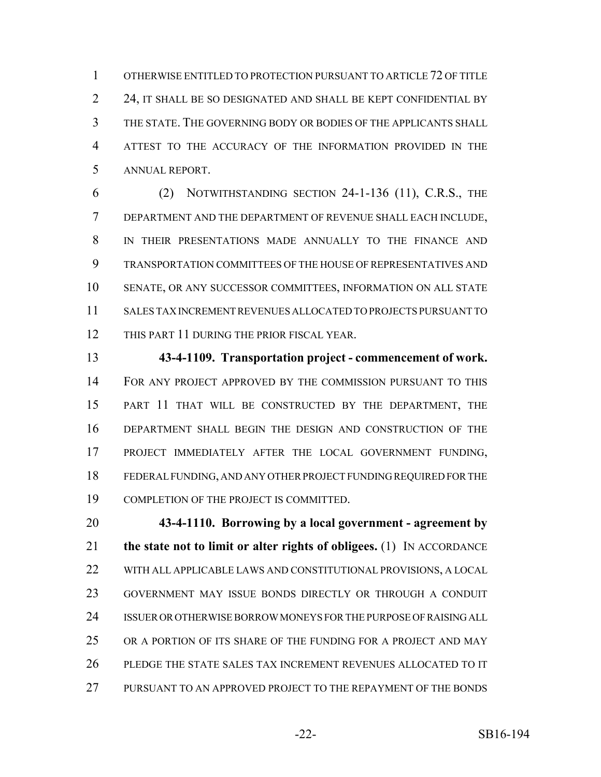OTHERWISE ENTITLED TO PROTECTION PURSUANT TO ARTICLE 72 OF TITLE 2 24, IT SHALL BE SO DESIGNATED AND SHALL BE KEPT CONFIDENTIAL BY THE STATE. THE GOVERNING BODY OR BODIES OF THE APPLICANTS SHALL ATTEST TO THE ACCURACY OF THE INFORMATION PROVIDED IN THE ANNUAL REPORT.

 (2) NOTWITHSTANDING SECTION 24-1-136 (11), C.R.S., THE DEPARTMENT AND THE DEPARTMENT OF REVENUE SHALL EACH INCLUDE, IN THEIR PRESENTATIONS MADE ANNUALLY TO THE FINANCE AND TRANSPORTATION COMMITTEES OF THE HOUSE OF REPRESENTATIVES AND SENATE, OR ANY SUCCESSOR COMMITTEES, INFORMATION ON ALL STATE SALES TAX INCREMENT REVENUES ALLOCATED TO PROJECTS PURSUANT TO 12 THIS PART 11 DURING THE PRIOR FISCAL YEAR.

 **43-4-1109. Transportation project - commencement of work.** FOR ANY PROJECT APPROVED BY THE COMMISSION PURSUANT TO THIS PART 11 THAT WILL BE CONSTRUCTED BY THE DEPARTMENT, THE DEPARTMENT SHALL BEGIN THE DESIGN AND CONSTRUCTION OF THE PROJECT IMMEDIATELY AFTER THE LOCAL GOVERNMENT FUNDING, FEDERAL FUNDING, AND ANY OTHER PROJECT FUNDING REQUIRED FOR THE COMPLETION OF THE PROJECT IS COMMITTED.

 **43-4-1110. Borrowing by a local government - agreement by the state not to limit or alter rights of obligees.** (1) IN ACCORDANCE WITH ALL APPLICABLE LAWS AND CONSTITUTIONAL PROVISIONS, A LOCAL GOVERNMENT MAY ISSUE BONDS DIRECTLY OR THROUGH A CONDUIT ISSUER OR OTHERWISE BORROW MONEYS FOR THE PURPOSE OF RAISING ALL OR A PORTION OF ITS SHARE OF THE FUNDING FOR A PROJECT AND MAY PLEDGE THE STATE SALES TAX INCREMENT REVENUES ALLOCATED TO IT PURSUANT TO AN APPROVED PROJECT TO THE REPAYMENT OF THE BONDS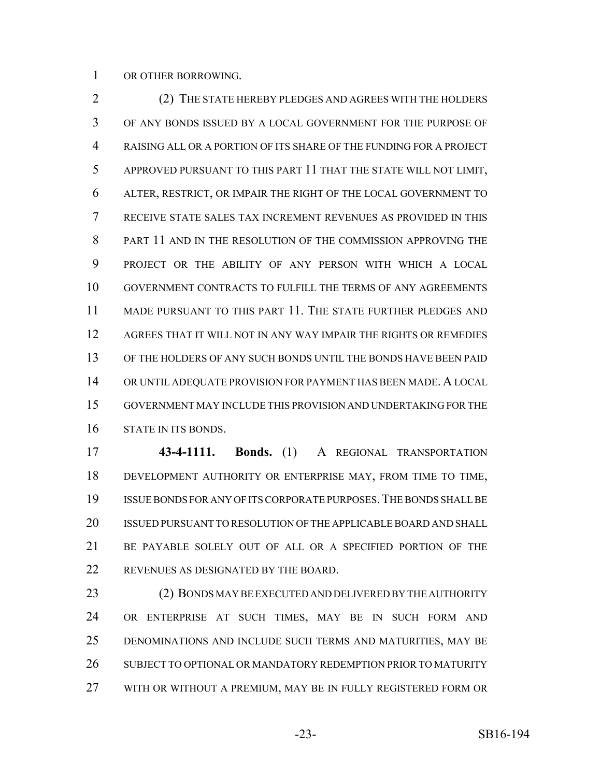OR OTHER BORROWING.

 (2) THE STATE HEREBY PLEDGES AND AGREES WITH THE HOLDERS OF ANY BONDS ISSUED BY A LOCAL GOVERNMENT FOR THE PURPOSE OF RAISING ALL OR A PORTION OF ITS SHARE OF THE FUNDING FOR A PROJECT APPROVED PURSUANT TO THIS PART 11 THAT THE STATE WILL NOT LIMIT, ALTER, RESTRICT, OR IMPAIR THE RIGHT OF THE LOCAL GOVERNMENT TO RECEIVE STATE SALES TAX INCREMENT REVENUES AS PROVIDED IN THIS PART 11 AND IN THE RESOLUTION OF THE COMMISSION APPROVING THE PROJECT OR THE ABILITY OF ANY PERSON WITH WHICH A LOCAL GOVERNMENT CONTRACTS TO FULFILL THE TERMS OF ANY AGREEMENTS MADE PURSUANT TO THIS PART 11. THE STATE FURTHER PLEDGES AND AGREES THAT IT WILL NOT IN ANY WAY IMPAIR THE RIGHTS OR REMEDIES OF THE HOLDERS OF ANY SUCH BONDS UNTIL THE BONDS HAVE BEEN PAID OR UNTIL ADEQUATE PROVISION FOR PAYMENT HAS BEEN MADE. A LOCAL GOVERNMENT MAY INCLUDE THIS PROVISION AND UNDERTAKING FOR THE STATE IN ITS BONDS.

 **43-4-1111. Bonds.** (1) A REGIONAL TRANSPORTATION DEVELOPMENT AUTHORITY OR ENTERPRISE MAY, FROM TIME TO TIME, ISSUE BONDS FOR ANY OF ITS CORPORATE PURPOSES.THE BONDS SHALL BE ISSUED PURSUANT TO RESOLUTION OF THE APPLICABLE BOARD AND SHALL BE PAYABLE SOLELY OUT OF ALL OR A SPECIFIED PORTION OF THE REVENUES AS DESIGNATED BY THE BOARD.

 (2) BONDS MAY BE EXECUTED AND DELIVERED BY THE AUTHORITY OR ENTERPRISE AT SUCH TIMES, MAY BE IN SUCH FORM AND DENOMINATIONS AND INCLUDE SUCH TERMS AND MATURITIES, MAY BE 26 SUBJECT TO OPTIONAL OR MANDATORY REDEMPTION PRIOR TO MATURITY WITH OR WITHOUT A PREMIUM, MAY BE IN FULLY REGISTERED FORM OR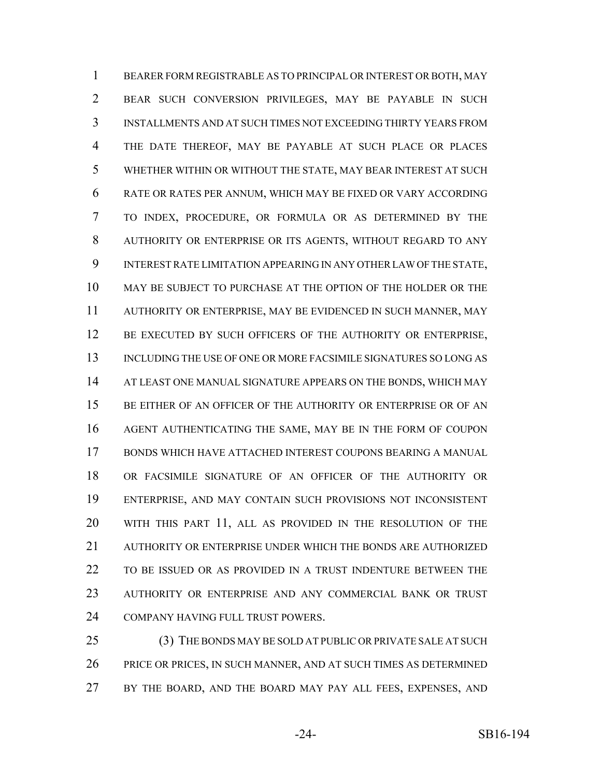BEARER FORM REGISTRABLE AS TO PRINCIPAL OR INTEREST OR BOTH, MAY BEAR SUCH CONVERSION PRIVILEGES, MAY BE PAYABLE IN SUCH INSTALLMENTS AND AT SUCH TIMES NOT EXCEEDING THIRTY YEARS FROM THE DATE THEREOF, MAY BE PAYABLE AT SUCH PLACE OR PLACES WHETHER WITHIN OR WITHOUT THE STATE, MAY BEAR INTEREST AT SUCH RATE OR RATES PER ANNUM, WHICH MAY BE FIXED OR VARY ACCORDING TO INDEX, PROCEDURE, OR FORMULA OR AS DETERMINED BY THE AUTHORITY OR ENTERPRISE OR ITS AGENTS, WITHOUT REGARD TO ANY INTEREST RATE LIMITATION APPEARING IN ANY OTHER LAW OF THE STATE, MAY BE SUBJECT TO PURCHASE AT THE OPTION OF THE HOLDER OR THE AUTHORITY OR ENTERPRISE, MAY BE EVIDENCED IN SUCH MANNER, MAY 12 BE EXECUTED BY SUCH OFFICERS OF THE AUTHORITY OR ENTERPRISE, INCLUDING THE USE OF ONE OR MORE FACSIMILE SIGNATURES SO LONG AS 14 AT LEAST ONE MANUAL SIGNATURE APPEARS ON THE BONDS, WHICH MAY 15 BE EITHER OF AN OFFICER OF THE AUTHORITY OR ENTERPRISE OR OF AN AGENT AUTHENTICATING THE SAME, MAY BE IN THE FORM OF COUPON BONDS WHICH HAVE ATTACHED INTEREST COUPONS BEARING A MANUAL OR FACSIMILE SIGNATURE OF AN OFFICER OF THE AUTHORITY OR ENTERPRISE, AND MAY CONTAIN SUCH PROVISIONS NOT INCONSISTENT WITH THIS PART 11, ALL AS PROVIDED IN THE RESOLUTION OF THE AUTHORITY OR ENTERPRISE UNDER WHICH THE BONDS ARE AUTHORIZED TO BE ISSUED OR AS PROVIDED IN A TRUST INDENTURE BETWEEN THE AUTHORITY OR ENTERPRISE AND ANY COMMERCIAL BANK OR TRUST COMPANY HAVING FULL TRUST POWERS.

25 (3) THE BONDS MAY BE SOLD AT PUBLIC OR PRIVATE SALE AT SUCH PRICE OR PRICES, IN SUCH MANNER, AND AT SUCH TIMES AS DETERMINED BY THE BOARD, AND THE BOARD MAY PAY ALL FEES, EXPENSES, AND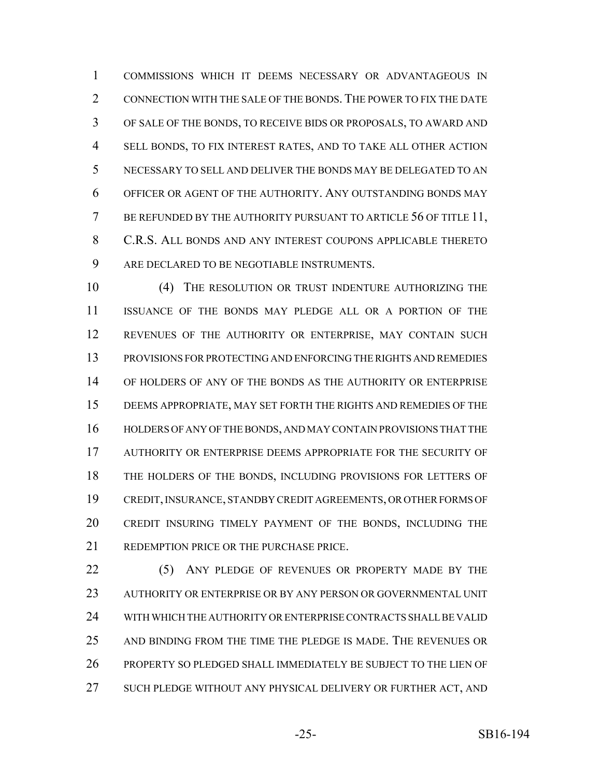COMMISSIONS WHICH IT DEEMS NECESSARY OR ADVANTAGEOUS IN CONNECTION WITH THE SALE OF THE BONDS.THE POWER TO FIX THE DATE OF SALE OF THE BONDS, TO RECEIVE BIDS OR PROPOSALS, TO AWARD AND SELL BONDS, TO FIX INTEREST RATES, AND TO TAKE ALL OTHER ACTION NECESSARY TO SELL AND DELIVER THE BONDS MAY BE DELEGATED TO AN OFFICER OR AGENT OF THE AUTHORITY. ANY OUTSTANDING BONDS MAY 7 BE REFUNDED BY THE AUTHORITY PURSUANT TO ARTICLE 56 OF TITLE 11, C.R.S. ALL BONDS AND ANY INTEREST COUPONS APPLICABLE THERETO ARE DECLARED TO BE NEGOTIABLE INSTRUMENTS.

 (4) THE RESOLUTION OR TRUST INDENTURE AUTHORIZING THE ISSUANCE OF THE BONDS MAY PLEDGE ALL OR A PORTION OF THE REVENUES OF THE AUTHORITY OR ENTERPRISE, MAY CONTAIN SUCH PROVISIONS FOR PROTECTING AND ENFORCING THE RIGHTS AND REMEDIES OF HOLDERS OF ANY OF THE BONDS AS THE AUTHORITY OR ENTERPRISE DEEMS APPROPRIATE, MAY SET FORTH THE RIGHTS AND REMEDIES OF THE HOLDERS OF ANY OF THE BONDS, AND MAY CONTAIN PROVISIONS THAT THE AUTHORITY OR ENTERPRISE DEEMS APPROPRIATE FOR THE SECURITY OF THE HOLDERS OF THE BONDS, INCLUDING PROVISIONS FOR LETTERS OF CREDIT, INSURANCE, STANDBY CREDIT AGREEMENTS, OR OTHER FORMS OF CREDIT INSURING TIMELY PAYMENT OF THE BONDS, INCLUDING THE REDEMPTION PRICE OR THE PURCHASE PRICE.

22 (5) ANY PLEDGE OF REVENUES OR PROPERTY MADE BY THE AUTHORITY OR ENTERPRISE OR BY ANY PERSON OR GOVERNMENTAL UNIT WITH WHICH THE AUTHORITY OR ENTERPRISE CONTRACTS SHALL BE VALID AND BINDING FROM THE TIME THE PLEDGE IS MADE. THE REVENUES OR PROPERTY SO PLEDGED SHALL IMMEDIATELY BE SUBJECT TO THE LIEN OF SUCH PLEDGE WITHOUT ANY PHYSICAL DELIVERY OR FURTHER ACT, AND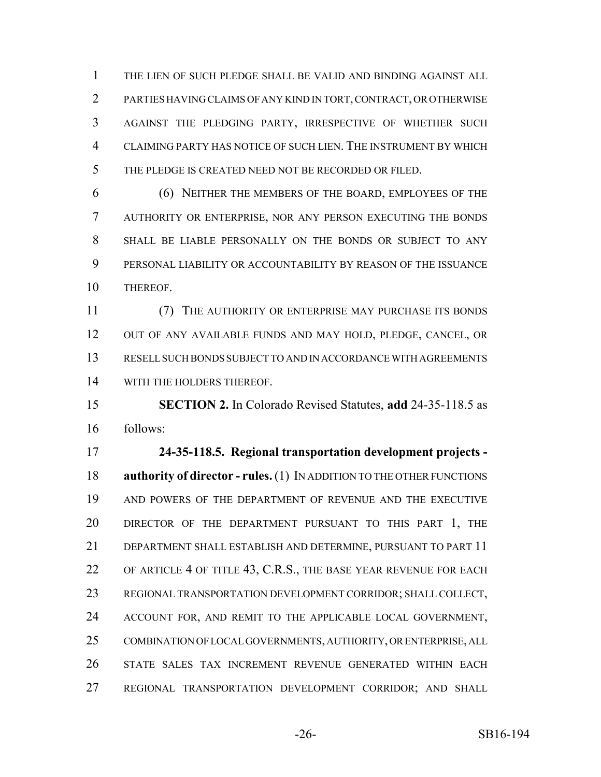THE LIEN OF SUCH PLEDGE SHALL BE VALID AND BINDING AGAINST ALL PARTIES HAVING CLAIMS OF ANY KIND IN TORT, CONTRACT, OR OTHERWISE AGAINST THE PLEDGING PARTY, IRRESPECTIVE OF WHETHER SUCH CLAIMING PARTY HAS NOTICE OF SUCH LIEN. THE INSTRUMENT BY WHICH THE PLEDGE IS CREATED NEED NOT BE RECORDED OR FILED.

 (6) NEITHER THE MEMBERS OF THE BOARD, EMPLOYEES OF THE AUTHORITY OR ENTERPRISE, NOR ANY PERSON EXECUTING THE BONDS SHALL BE LIABLE PERSONALLY ON THE BONDS OR SUBJECT TO ANY PERSONAL LIABILITY OR ACCOUNTABILITY BY REASON OF THE ISSUANCE THEREOF.

 (7) THE AUTHORITY OR ENTERPRISE MAY PURCHASE ITS BONDS OUT OF ANY AVAILABLE FUNDS AND MAY HOLD, PLEDGE, CANCEL, OR RESELL SUCH BONDS SUBJECT TO AND IN ACCORDANCE WITH AGREEMENTS WITH THE HOLDERS THEREOF.

 **SECTION 2.** In Colorado Revised Statutes, **add** 24-35-118.5 as follows:

 **24-35-118.5. Regional transportation development projects - authority of director - rules.** (1) IN ADDITION TO THE OTHER FUNCTIONS AND POWERS OF THE DEPARTMENT OF REVENUE AND THE EXECUTIVE DIRECTOR OF THE DEPARTMENT PURSUANT TO THIS PART 1, THE DEPARTMENT SHALL ESTABLISH AND DETERMINE, PURSUANT TO PART 11 OF ARTICLE 4 OF TITLE 43, C.R.S., THE BASE YEAR REVENUE FOR EACH REGIONAL TRANSPORTATION DEVELOPMENT CORRIDOR; SHALL COLLECT, ACCOUNT FOR, AND REMIT TO THE APPLICABLE LOCAL GOVERNMENT, COMBINATION OF LOCAL GOVERNMENTS, AUTHORITY, OR ENTERPRISE, ALL STATE SALES TAX INCREMENT REVENUE GENERATED WITHIN EACH REGIONAL TRANSPORTATION DEVELOPMENT CORRIDOR; AND SHALL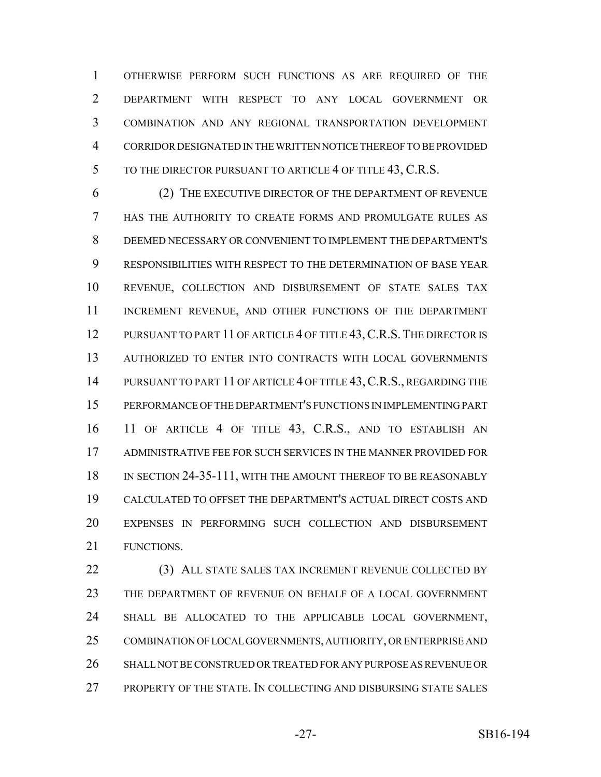OTHERWISE PERFORM SUCH FUNCTIONS AS ARE REQUIRED OF THE DEPARTMENT WITH RESPECT TO ANY LOCAL GOVERNMENT OR COMBINATION AND ANY REGIONAL TRANSPORTATION DEVELOPMENT CORRIDOR DESIGNATED IN THE WRITTEN NOTICE THEREOF TO BE PROVIDED 5 TO THE DIRECTOR PURSUANT TO ARTICLE 4 OF TITLE 43, C.R.S.

 (2) THE EXECUTIVE DIRECTOR OF THE DEPARTMENT OF REVENUE HAS THE AUTHORITY TO CREATE FORMS AND PROMULGATE RULES AS DEEMED NECESSARY OR CONVENIENT TO IMPLEMENT THE DEPARTMENT'S RESPONSIBILITIES WITH RESPECT TO THE DETERMINATION OF BASE YEAR REVENUE, COLLECTION AND DISBURSEMENT OF STATE SALES TAX INCREMENT REVENUE, AND OTHER FUNCTIONS OF THE DEPARTMENT 12 PURSUANT TO PART 11 OF ARTICLE 4 OF TITLE 43, C.R.S. THE DIRECTOR IS AUTHORIZED TO ENTER INTO CONTRACTS WITH LOCAL GOVERNMENTS 14 PURSUANT TO PART 11 OF ARTICLE 4 OF TITLE 43, C.R.S., REGARDING THE PERFORMANCE OF THE DEPARTMENT'S FUNCTIONS IN IMPLEMENTING PART 11 OF ARTICLE 4 OF TITLE 43, C.R.S., AND TO ESTABLISH AN ADMINISTRATIVE FEE FOR SUCH SERVICES IN THE MANNER PROVIDED FOR 18 IN SECTION 24-35-111, WITH THE AMOUNT THEREOF TO BE REASONABLY CALCULATED TO OFFSET THE DEPARTMENT'S ACTUAL DIRECT COSTS AND EXPENSES IN PERFORMING SUCH COLLECTION AND DISBURSEMENT FUNCTIONS.

 (3) ALL STATE SALES TAX INCREMENT REVENUE COLLECTED BY THE DEPARTMENT OF REVENUE ON BEHALF OF A LOCAL GOVERNMENT SHALL BE ALLOCATED TO THE APPLICABLE LOCAL GOVERNMENT, COMBINATION OF LOCAL GOVERNMENTS, AUTHORITY, OR ENTERPRISE AND SHALL NOT BE CONSTRUED OR TREATED FOR ANY PURPOSE AS REVENUE OR PROPERTY OF THE STATE. IN COLLECTING AND DISBURSING STATE SALES